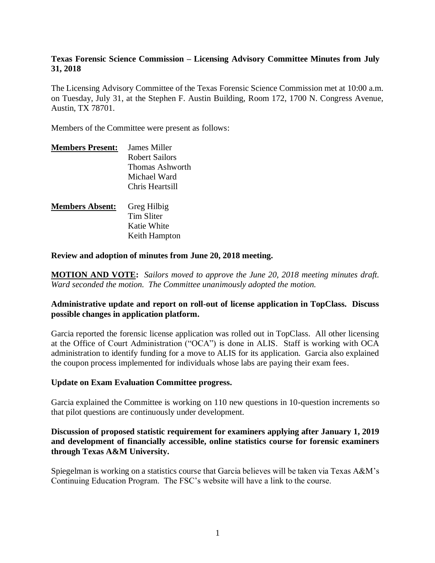## **Texas Forensic Science Commission – Licensing Advisory Committee Minutes from July 31, 2018**

The Licensing Advisory Committee of the Texas Forensic Science Commission met at 10:00 a.m. on Tuesday, July 31, at the Stephen F. Austin Building, Room 172, 1700 N. Congress Avenue, Austin, TX 78701.

Members of the Committee were present as follows:

| <b>Members Present:</b> | James Miller    |
|-------------------------|-----------------|
|                         | Robert Sailors  |
|                         | Thomas Ashworth |
|                         | Michael Ward    |
|                         | Chris Heartsill |
| <b>Members Absent:</b>  | Greg Hilbig     |
|                         | Tim Sliter      |
|                         | Katie White     |
|                         | Keith Hampton   |

**Review and adoption of minutes from June 20, 2018 meeting.**

**MOTION AND VOTE:** *Sailors moved to approve the June 20, 2018 meeting minutes draft. Ward seconded the motion. The Committee unanimously adopted the motion.*

## **Administrative update and report on roll-out of license application in TopClass. Discuss possible changes in application platform.**

Garcia reported the forensic license application was rolled out in TopClass. All other licensing at the Office of Court Administration ("OCA") is done in ALIS. Staff is working with OCA administration to identify funding for a move to ALIS for its application. Garcia also explained the coupon process implemented for individuals whose labs are paying their exam fees.

#### **Update on Exam Evaluation Committee progress.**

Garcia explained the Committee is working on 110 new questions in 10-question increments so that pilot questions are continuously under development.

## **Discussion of proposed statistic requirement for examiners applying after January 1, 2019 and development of financially accessible, online statistics course for forensic examiners through Texas A&M University.**

Spiegelman is working on a statistics course that Garcia believes will be taken via Texas A&M's Continuing Education Program. The FSC's website will have a link to the course.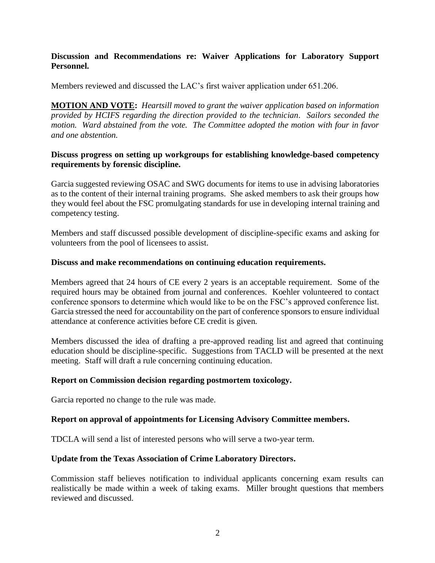## **Discussion and Recommendations re: Waiver Applications for Laboratory Support Personnel.**

Members reviewed and discussed the LAC's first waiver application under 651.206.

**MOTION AND VOTE:** *Heartsill moved to grant the waiver application based on information provided by HCIFS regarding the direction provided to the technician. Sailors seconded the motion. Ward abstained from the vote. The Committee adopted the motion with four in favor and one abstention.*

#### **Discuss progress on setting up workgroups for establishing knowledge-based competency requirements by forensic discipline.**

Garcia suggested reviewing OSAC and SWG documents for items to use in advising laboratories as to the content of their internal training programs. She asked members to ask their groups how they would feel about the FSC promulgating standards for use in developing internal training and competency testing.

Members and staff discussed possible development of discipline-specific exams and asking for volunteers from the pool of licensees to assist.

## **Discuss and make recommendations on continuing education requirements.**

Members agreed that 24 hours of CE every 2 years is an acceptable requirement. Some of the required hours may be obtained from journal and conferences. Koehler volunteered to contact conference sponsors to determine which would like to be on the FSC's approved conference list. Garcia stressed the need for accountability on the part of conference sponsors to ensure individual attendance at conference activities before CE credit is given.

Members discussed the idea of drafting a pre-approved reading list and agreed that continuing education should be discipline-specific. Suggestions from TACLD will be presented at the next meeting. Staff will draft a rule concerning continuing education.

#### **Report on Commission decision regarding postmortem toxicology.**

Garcia reported no change to the rule was made.

#### **Report on approval of appointments for Licensing Advisory Committee members.**

TDCLA will send a list of interested persons who will serve a two-year term.

#### **Update from the Texas Association of Crime Laboratory Directors.**

Commission staff believes notification to individual applicants concerning exam results can realistically be made within a week of taking exams. Miller brought questions that members reviewed and discussed.